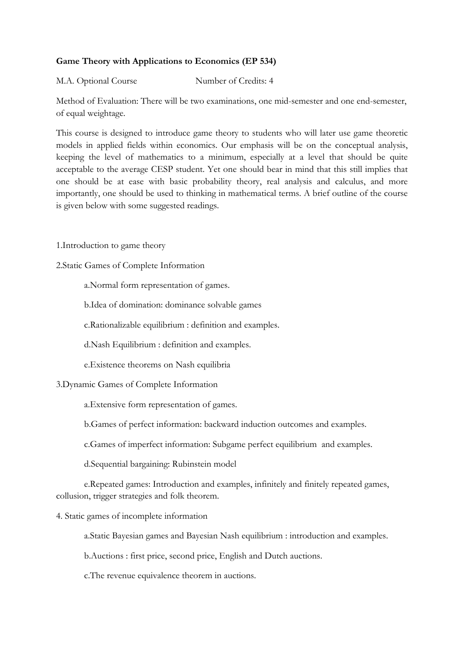# **Game Theory with Applications to Economics (EP 534)**

## M.A. Optional Course Number of Credits: 4

Method of Evaluation: There will be two examinations, one mid-semester and one end-semester, of equal weightage.

This course is designed to introduce game theory to students who will later use game theoretic models in applied fields within economics. Our emphasis will be on the conceptual analysis, keeping the level of mathematics to a minimum, especially at a level that should be quite acceptable to the average CESP student. Yet one should bear in mind that this still implies that one should be at ease with basic probability theory, real analysis and calculus, and more importantly, one should be used to thinking in mathematical terms. A brief outline of the course is given below with some suggested readings.

1.Introduction to game theory

2.Static Games of Complete Information

a.Normal form representation of games.

b.Idea of domination: dominance solvable games

c.Rationalizable equilibrium : definition and examples.

d.Nash Equilibrium : definition and examples.

e.Existence theorems on Nash equilibria

#### 3.Dynamic Games of Complete Information

a.Extensive form representation of games.

b.Games of perfect information: backward induction outcomes and examples.

c.Games of imperfect information: Subgame perfect equilibrium and examples.

d.Sequential bargaining: Rubinstein model

 e.Repeated games: Introduction and examples, infinitely and finitely repeated games, collusion, trigger strategies and folk theorem.

4. Static games of incomplete information

a.Static Bayesian games and Bayesian Nash equilibrium : introduction and examples.

b.Auctions : first price, second price, English and Dutch auctions.

c.The revenue equivalence theorem in auctions.